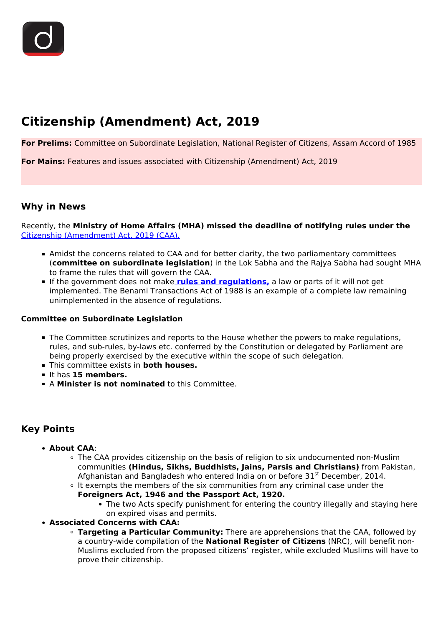# **Citizenship (Amendment) Act, 2019**

**For Prelims:** Committee on Subordinate Legislation, National Register of Citizens, Assam Accord of 1985

**For Mains:** Features and issues associated with Citizenship (Amendment) Act, 2019

## **Why in News**

Recently, the **Ministry of Home Affairs (MHA) missed the deadline of notifying rules under the**  [Citizenship \(Amendment\) Act, 2019 \(CAA\).](/to-the-points/Paper2/citizenship-amendment-act-2019)

- Amidst the concerns related to CAA and for better clarity, the two parliamentary committees (**committee on subordinate legislation**) in the Lok Sabha and the Rajya Sabha had sought MHA to frame the rules that will govern the CAA.
- If the government does not make **rules and regulations,** a law or parts of it will not get implemented. The Benami Transactions Act of 1988 is an example of a complete law remaining unimplemented in the absence of regulations.

#### **Committee on Subordinate Legislation**

- The Committee scrutinizes and reports to the House whether the powers to make regulations, rules, and sub-rules, by-laws etc. conferred by the Constitution or delegated by Parliament are being properly exercised by the executive within the scope of such delegation.
- This committee exists in **both houses.**
- It has **15 members.**
- A **Minister is not nominated** to this Committee.

# **Key Points**

- **About CAA**:
	- The CAA provides citizenship on the basis of religion to six undocumented non-Muslim communities **(Hindus, Sikhs, Buddhists, Jains, Parsis and Christians)** from Pakistan, Afghanistan and Bangladesh who entered India on or before  $31^{st}$  December, 2014.
	- It exempts the members of the six communities from any criminal case under the

#### **Foreigners Act, 1946 and the Passport Act, 1920.**

- The two Acts specify punishment for entering the country illegally and staying here on expired visas and permits.
- **Associated Concerns with CAA:**
	- **Targeting a Particular Community:** There are apprehensions that the CAA, followed by a country-wide compilation of the **National Register of Citizens** (NRC), will benefit non-Muslims excluded from the proposed citizens' register, while excluded Muslims will have to prove their citizenship.